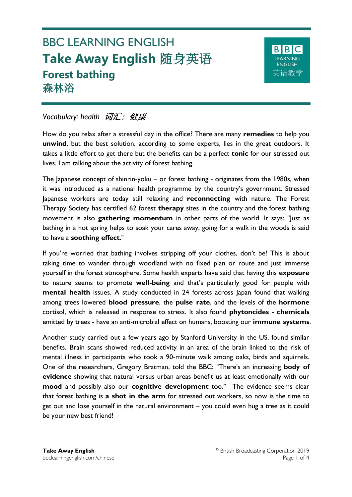# BBC LEARNING ENGLISH **Take Away English** 随身英语 **Forest bathing** 森林浴



*Vocabulary: health* 词汇: 健康

How do you relax after a stressful day in the office? There are many **remedies** to help you **unwind**, but the best solution, according to some experts, lies in the great outdoors. It takes a little effort to get there but the benefits can be a perfect **tonic** for our stressed out lives. I am talking about the activity of forest bathing.

The Japanese concept of shinrin-yoku – or forest bathing - originates from the 1980s, when it was introduced as a national health programme by the country's government. Stressed Japanese workers are today still relaxing and **reconnecting** with nature. The Forest Therapy Society has certified 62 forest **therapy** sites in the country and the forest bathing movement is also **gathering momentum** in other parts of the world. It says: "Just as bathing in a hot spring helps to soak your cares away, going for a walk in the woods is said to have a **soothing effect**."

If you're worried that bathing involves stripping off your clothes, don't be! This is about taking time to wander through woodland with no fixed plan or route and just immerse yourself in the forest atmosphere. Some health experts have said that having this **exposure** to nature seems to promote **well-being** and that's particularly good for people with **mental health** issues. A study conducted in 24 forests across Japan found that walking among trees lowered **blood pressure**, the **pulse rate**, and the levels of the **hormone** cortisol, which is released in response to stress. It also found **phytoncides** - **chemicals** emitted by trees - have an anti-microbial effect on humans, boosting our **immune systems**.

Another study carried out a few years ago by Stanford University in the US, found similar benefits. Brain scans showed reduced activity in an area of the brain linked to the risk of mental illness in participants who took a 90-minute walk among oaks, birds and squirrels. One of the researchers, Gregory Bratman, told the BBC: "There's an increasing **body of evidence** showing that natural versus urban areas benefit us at least emotionally with our **mood** and possibly also our **cognitive development** too." The evidence seems clear that forest bathing is **a shot in the arm** for stressed out workers, so now is the time to get out and lose yourself in the natural environment – you could even hug a tree as it could be your new best friend!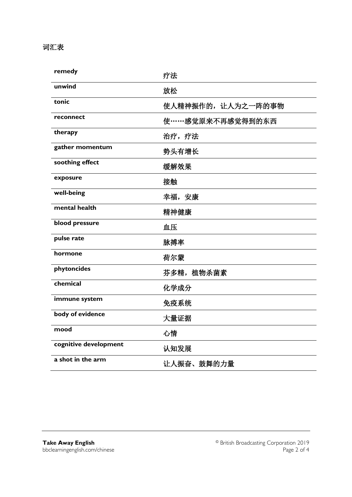## 词汇表

| remedy                | 疗法                 |  |  |
|-----------------------|--------------------|--|--|
| unwind                | 放松                 |  |  |
| tonic                 | 使人精神振作的, 让人为之一阵的事物 |  |  |
| reconnect             | 使……感觉原来不再感觉得到的东西   |  |  |
| therapy               | 治疗,疗法              |  |  |
| gather momentum       | 势头有增长              |  |  |
| soothing effect       | 缓解效果               |  |  |
| exposure              | 接触                 |  |  |
| well-being            | 幸福, 安康             |  |  |
| mental health         | 精神健康               |  |  |
| blood pressure        | 血压                 |  |  |
| pulse rate            | 脉搏率                |  |  |
| hormone               | 荷尔蒙                |  |  |
| phytoncides           | 芬多精, 植物杀菌素         |  |  |
| chemical              | 化学成分               |  |  |
| immune system         | 免疫系统               |  |  |
| body of evidence      | 大量证据               |  |  |
| mood                  | 心情                 |  |  |
| cognitive development | 认知发展               |  |  |
| a shot in the arm     | 让人振奋、鼓舞的力量         |  |  |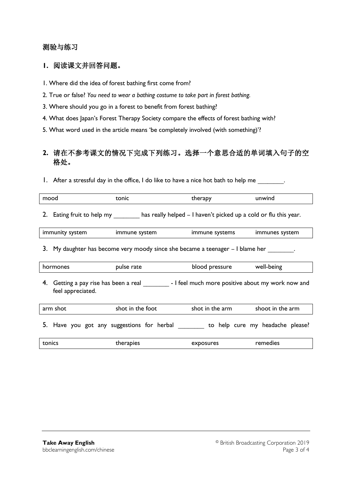#### 测验与练习

#### **1.** 阅读课文并回答问题。

1. Where did the idea of forest bathing first come from?

- 2. True or false? *You need to wear a bathing costume to take part in forest bathing.*
- 3. Where should you go in a forest to benefit from forest bathing?
- 4. What does Japan's Forest Therapy Society compare the effects of forest bathing with?
- 5. What word used in the article means 'be completely involved (with something)'?

# **2.** 请在不参考课文的情况下完成下列练习。选择一个意思合适的单词填入句子的空 格处。

1. After a stressful day in the office, I do like to have a nice hot bath to help me  $\qquad \qquad$ .

| mood                                                                                                                         |                 | tonic                                                                                                 | therapy                          | unwind         |  |
|------------------------------------------------------------------------------------------------------------------------------|-----------------|-------------------------------------------------------------------------------------------------------|----------------------------------|----------------|--|
|                                                                                                                              |                 | 2. Eating fruit to help my _________ has really helped – I haven't picked up a cold or flu this year. |                                  |                |  |
|                                                                                                                              | immunity system | immune system                                                                                         | immune systems                   | immunes system |  |
| 3. My daughter has become very moody since she became a teenager – I blame her                                               |                 |                                                                                                       |                                  |                |  |
|                                                                                                                              | hormones        | pulse rate                                                                                            | blood pressure well-being        |                |  |
| 4. Getting a pay rise has been a real ________________- I feel much more positive about my work now and<br>feel appreciated. |                 |                                                                                                       |                                  |                |  |
|                                                                                                                              | arm shot        | shot in the foot                                                                                      | shot in the arm shoot in the arm |                |  |
|                                                                                                                              |                 | 5. Have you got any suggestions for herbal to help cure my headache please?                           |                                  |                |  |
| tonics                                                                                                                       |                 | therapies                                                                                             | exposures                        | remedies       |  |